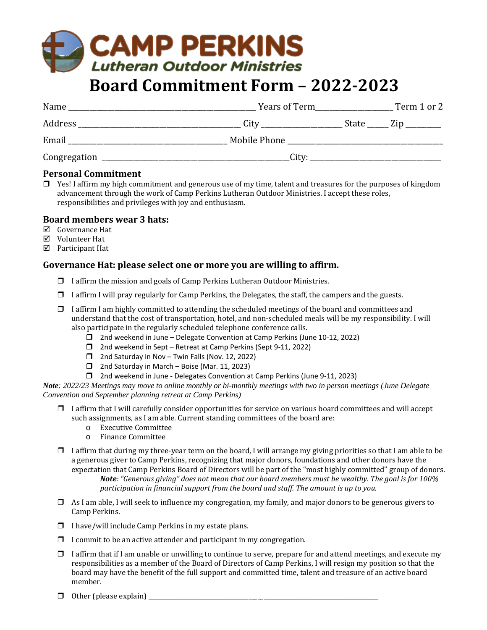# **CAMP PERKINS** Lutheran Outdoor Ministries

# **Board Commitment Form – 2022-2023**

| Name         |       | Term 1 or 2                |
|--------------|-------|----------------------------|
| Address      | City  | State ______ Zip _________ |
| Email        |       |                            |
| Congregation | City: |                            |

#### **Personal Commitment**

 $\Box$  Yes! I affirm my high commitment and generous use of my time, talent and treasures for the purposes of kingdom advancement through the work of Camp Perkins Lutheran Outdoor Ministries. I accept these roles, responsibilities and privileges with joy and enthusiasm.

#### **Board members wear 3 hats:**

- Governance Hat
- Volunteer Hat
- Participant Hat

#### **Governance Hat: please select one or more you are willing to affirm.**

- $\Box$  I affirm the mission and goals of Camp Perkins Lutheran Outdoor Ministries.
- $\Box$  I affirm I will pray regularly for Camp Perkins, the Delegates, the staff, the campers and the guests.
- $\Box$  I affirm I am highly committed to attending the scheduled meetings of the board and committees and understand that the cost of transportation, hotel, and non-scheduled meals will be my responsibility. I will also participate in the regularly scheduled telephone conference calls.
	- 2nd weekend in June Delegate Convention at Camp Perkins (June 10-12, 2022)
	- $\Box$  2nd weekend in Sept Retreat at Camp Perkins (Sept 9-11, 2022)
	- $\Box$  2nd Saturday in Nov Twin Falls (Nov. 12, 2022)
	- □ 2nd Saturday in March Boise (Mar. 11, 2023)
	- 2nd weekend in June Delegates Convention at Camp Perkins (June 9-11, 2023)

*Note: 2022/23 Meetings may move to online monthly or bi-monthly meetings with two in person meetings (June Delegate Convention and September planning retreat at Camp Perkins)*

- $\Box$  I affirm that I will carefully consider opportunities for service on various board committees and will accept such assignments, as I am able. Current standing committees of the board are:
	- o Executive Committee
	- o Finance Committee
- $\Box$  I affirm that during my three-year term on the board, I will arrange my giving priorities so that I am able to be a generous giver to Camp Perkins, recognizing that major donors, foundations and other donors have the expectation that Camp Perkins Board of Directors will be part of the "most highly committed" group of donors. *Note: "Generous giving" does not mean that our board members must be wealthy. The goal is for 100% participation in financial support from the board and staff. The amount is up to you.*
- $\Box$  As I am able, I will seek to influence my congregation, my family, and major donors to be generous givers to Camp Perkins.
- $\Box$  I have/will include Camp Perkins in my estate plans.
- $\Box$  I commit to be an active attender and participant in my congregation.
- $\Box$  I affirm that if I am unable or unwilling to continue to serve, prepare for and attend meetings, and execute my responsibilities as a member of the Board of Directors of Camp Perkins, I will resign my position so that the board may have the benefit of the full support and committed time, talent and treasure of an active board member.
- $\Box$  Other (please explain)